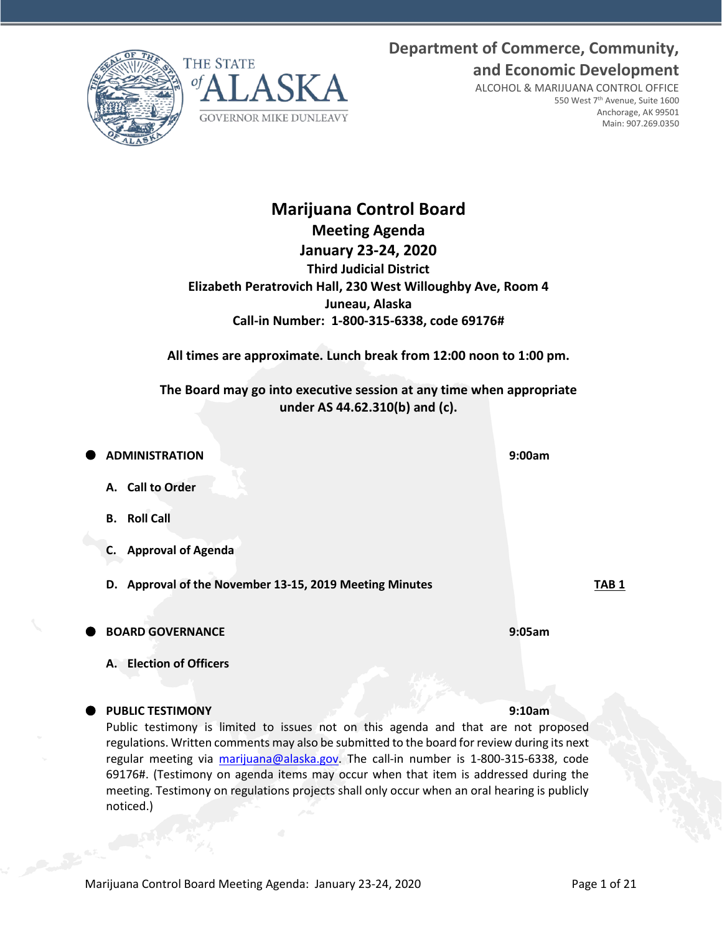Marijuana Control Board Meeting Agenda: January 23-24, 2020 Page 1 of 21

**Department of Commerce, Community, and Economic Development**

> ALCOHOL & MARIJUANA CONTROL OFFICE 550 West 7th Avenue, Suite 1600 Anchorage, AK 99501 Main: 907.269.0350

# **Meeting Agenda January 23-24, 2020 Third Judicial District Elizabeth Peratrovich Hall, 230 West Willoughby Ave, Room 4 Juneau, Alaska Call-in Number: 1-800-315-6338, code 69176#**

**All times are approximate. Lunch break from 12:00 noon to 1:00 pm.**

**The Board may go into executive session at any time when appropriate under AS 44.62.310(b) and (c).**

 **ADMINISTRATION 9:00am A. Call to Order B. Roll Call C. Approval of Agenda D. Approval of the November 13-15, 2019 Meeting Minutes TAB 1 BOARD GOVERNANCE 9:05am A. Election of Officers**

## **PUBLIC TESTIMONY 9:10am**

Public testimony is limited to issues not on this agenda and that are not proposed regulations. Written comments may also be submitted to the board for review during its next regular meeting via [marijuana@alaska.gov.](mailto:marijuana@alaska.gov) The call-in number is 1-800-315-6338, code 69176#. (Testimony on agenda items may occur when that item is addressed during the meeting. Testimony on regulations projects shall only occur when an oral hearing is publicly noticed.)

# **Marijuana Control Board**

**GOVERNOR MIKE DUNLEAVY** 

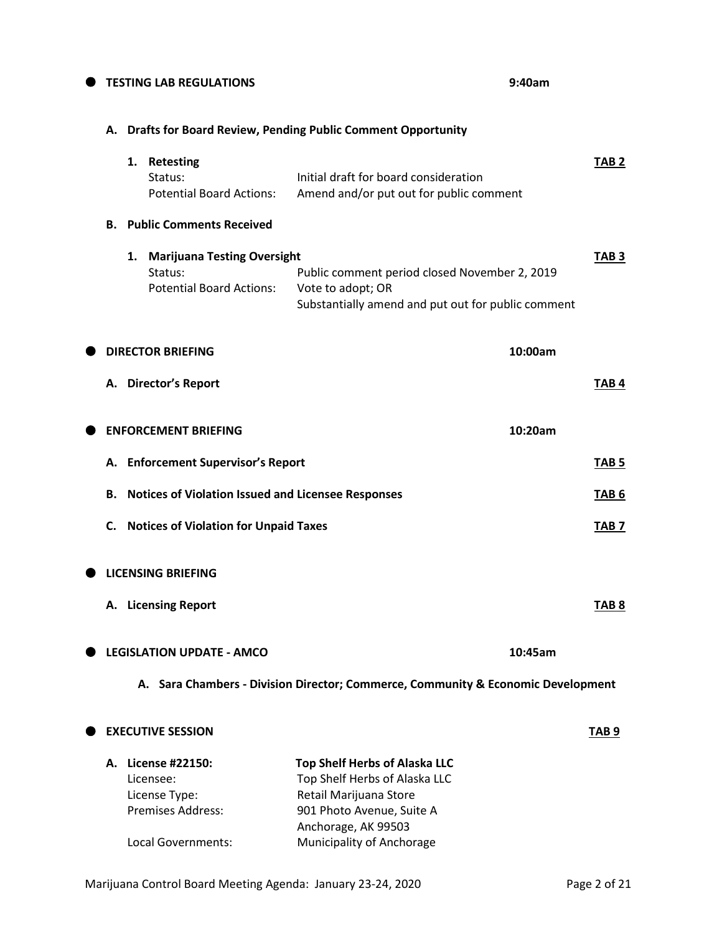# **TESTING LAB REGULATIONS 9:40am**

## **A. Drafts for Board Review, Pending Public Comment Opportunity**

|    |    | 1. Retesting<br>Status:<br><b>Potential Board Actions:</b>                                         | Initial draft for board consideration<br>Amend and/or put out for public comment                                                                                                 | TAB <sub>2</sub> |
|----|----|----------------------------------------------------------------------------------------------------|----------------------------------------------------------------------------------------------------------------------------------------------------------------------------------|------------------|
| В. |    | <b>Public Comments Received</b>                                                                    |                                                                                                                                                                                  |                  |
|    | 1. | <b>Marijuana Testing Oversight</b><br>Status:<br><b>Potential Board Actions:</b>                   | Public comment period closed November 2, 2019<br>Vote to adopt; OR<br>Substantially amend and put out for public comment                                                         | TAB <sub>3</sub> |
|    |    | <b>DIRECTOR BRIEFING</b>                                                                           | 10:00am                                                                                                                                                                          |                  |
| А. |    | <b>Director's Report</b>                                                                           |                                                                                                                                                                                  | TAB 4            |
|    |    | <b>ENFORCEMENT BRIEFING</b>                                                                        | 10:20am                                                                                                                                                                          |                  |
|    |    | A. Enforcement Supervisor's Report                                                                 |                                                                                                                                                                                  | TAB <sub>5</sub> |
| В. |    | <b>Notices of Violation Issued and Licensee Responses</b>                                          |                                                                                                                                                                                  | TAB <sub>6</sub> |
| С. |    | <b>Notices of Violation for Unpaid Taxes</b>                                                       |                                                                                                                                                                                  | TAB <sub>7</sub> |
|    |    | <b>LICENSING BRIEFING</b>                                                                          |                                                                                                                                                                                  |                  |
|    |    | A. Licensing Report                                                                                |                                                                                                                                                                                  | TAB <sub>8</sub> |
|    |    | <b>LEGISLATION UPDATE - AMCO</b>                                                                   | 10:45am                                                                                                                                                                          |                  |
|    |    |                                                                                                    | A. Sara Chambers - Division Director; Commerce, Community & Economic Development                                                                                                 |                  |
|    |    | <b>EXECUTIVE SESSION</b>                                                                           |                                                                                                                                                                                  | TAB <sub>9</sub> |
|    |    | A. License #22150:<br>Licensee:<br>License Type:<br><b>Premises Address:</b><br>Local Governments: | <b>Top Shelf Herbs of Alaska LLC</b><br>Top Shelf Herbs of Alaska LLC<br>Retail Marijuana Store<br>901 Photo Avenue, Suite A<br>Anchorage, AK 99503<br>Municipality of Anchorage |                  |

Marijuana Control Board Meeting Agenda: January 23-24, 2020 Page 2 of 21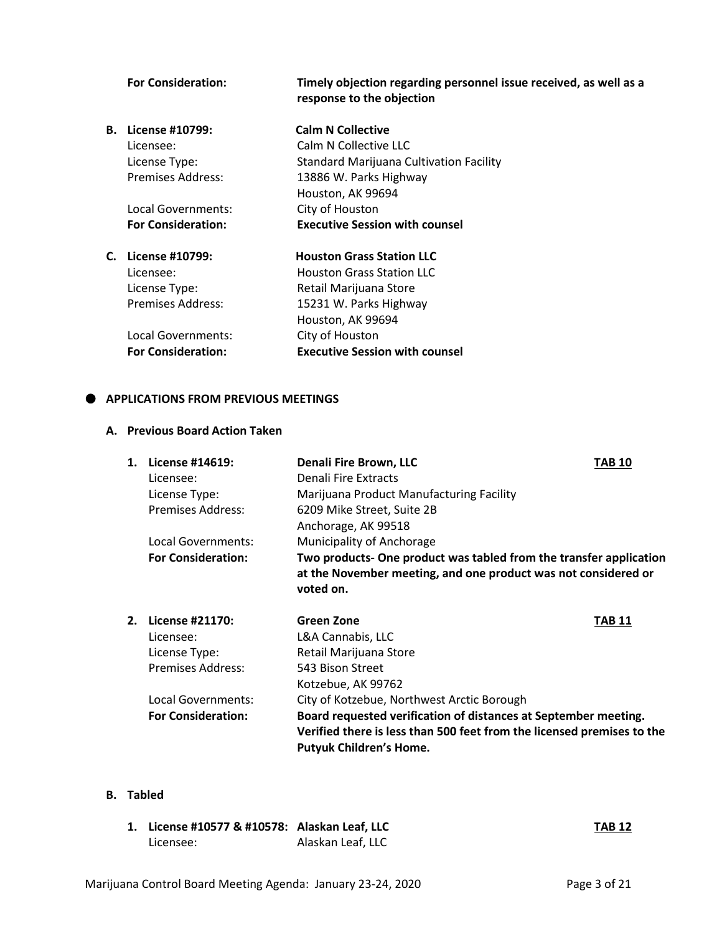|    | <b>For Consideration:</b> | Timely objection regarding personnel issue received, as well as a<br>response to the objection |
|----|---------------------------|------------------------------------------------------------------------------------------------|
| В. | License #10799:           | <b>Calm N Collective</b>                                                                       |
|    | Licensee:                 | Calm N Collective LLC                                                                          |
|    | License Type:             | <b>Standard Marijuana Cultivation Facility</b>                                                 |
|    | Premises Address:         | 13886 W. Parks Highway                                                                         |
|    |                           | Houston, AK 99694                                                                              |
|    | Local Governments:        | City of Houston                                                                                |
|    | <b>For Consideration:</b> | <b>Executive Session with counsel</b>                                                          |
|    | C. License #10799:        | <b>Houston Grass Station LLC</b>                                                               |
|    | Licensee:                 | <b>Houston Grass Station LLC</b>                                                               |
|    | License Type:             | Retail Marijuana Store                                                                         |
|    | Premises Address:         | 15231 W. Parks Highway                                                                         |
|    |                           | Houston, AK 99694                                                                              |
|    | Local Governments:        | City of Houston                                                                                |
|    | <b>For Consideration:</b> | <b>Executive Session with counsel</b>                                                          |
|    |                           |                                                                                                |

## $\bullet$  APPLICATIONS FROM PREVIOUS MEETINGS

## **A. Previous Board Action Taken**

| 1. | License #14619:           | <b>Denali Fire Brown, LLC</b>                                                                                                                     | <b>TAB 10</b> |
|----|---------------------------|---------------------------------------------------------------------------------------------------------------------------------------------------|---------------|
|    | Licensee:                 | Denali Fire Extracts                                                                                                                              |               |
|    | License Type:             | Marijuana Product Manufacturing Facility                                                                                                          |               |
|    | <b>Premises Address:</b>  | 6209 Mike Street, Suite 2B                                                                                                                        |               |
|    |                           | Anchorage, AK 99518                                                                                                                               |               |
|    | Local Governments:        | Municipality of Anchorage                                                                                                                         |               |
|    | <b>For Consideration:</b> | Two products- One product was tabled from the transfer application<br>at the November meeting, and one product was not considered or<br>voted on. |               |
| 2. | License #21170:           | Green Zone                                                                                                                                        | <b>TAB 11</b> |
|    | Licensee:                 | L&A Cannabis, LLC                                                                                                                                 |               |
|    | License Type:             | Retail Marijuana Store                                                                                                                            |               |
|    | <b>Premises Address:</b>  | 543 Bison Street                                                                                                                                  |               |
|    |                           | Kotzebue, AK 99762                                                                                                                                |               |
|    | Local Governments:        | City of Kotzebue, Northwest Arctic Borough                                                                                                        |               |
|    | <b>For Consideration:</b> | Board requested verification of distances at September meeting.                                                                                   |               |
|    |                           | Verified there is less than 500 feet from the licensed premises to the                                                                            |               |

## **B. Tabled**

| 1. License #10577 & #10578: Alaskan Leaf, LLC |                   | <b>TAB 12</b> |
|-----------------------------------------------|-------------------|---------------|
| Licensee:                                     | Alaskan Leaf, LLC |               |

**Putyuk Children's Home.**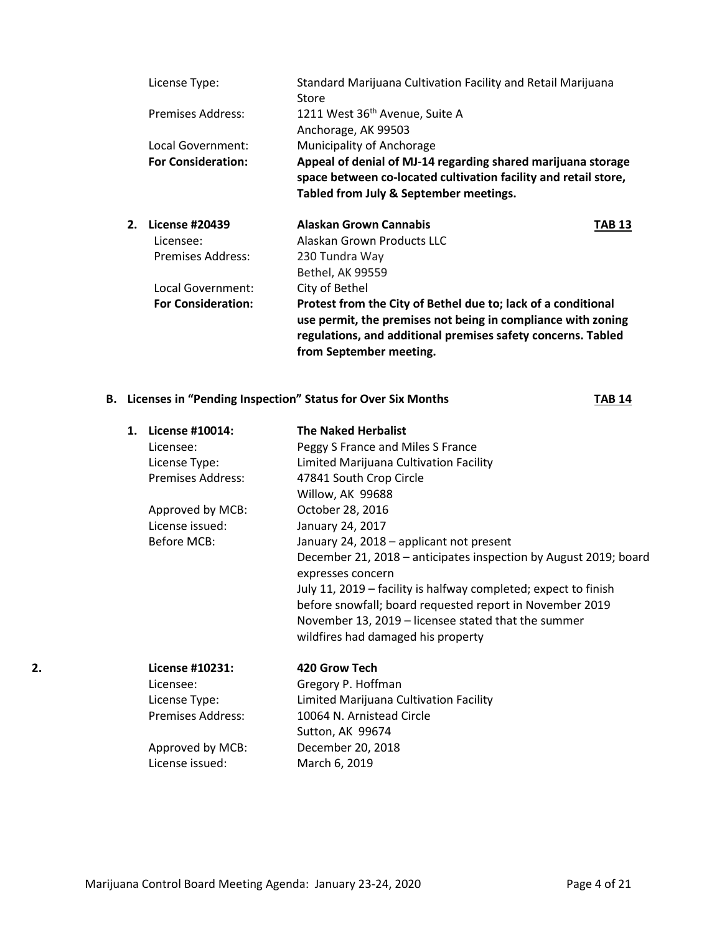|    | License Type:             | Standard Marijuana Cultivation Facility and Retail Marijuana<br>Store                                                                                                                                                    |        |
|----|---------------------------|--------------------------------------------------------------------------------------------------------------------------------------------------------------------------------------------------------------------------|--------|
|    | Premises Address:         | 1211 West 36 <sup>th</sup> Avenue, Suite A                                                                                                                                                                               |        |
|    |                           | Anchorage, AK 99503                                                                                                                                                                                                      |        |
|    | Local Government:         | Municipality of Anchorage                                                                                                                                                                                                |        |
|    | <b>For Consideration:</b> | Appeal of denial of MJ-14 regarding shared marijuana storage<br>space between co-located cultivation facility and retail store,<br>Tabled from July & September meetings.                                                |        |
| 2. | <b>License #20439</b>     | Alaskan Grown Cannabis                                                                                                                                                                                                   | TAB 13 |
|    | Licensee:                 | Alaskan Grown Products LLC                                                                                                                                                                                               |        |
|    | Premises Address:         | 230 Tundra Way                                                                                                                                                                                                           |        |
|    |                           | Bethel, AK 99559                                                                                                                                                                                                         |        |
|    | Local Government:         | City of Bethel                                                                                                                                                                                                           |        |
|    | <b>For Consideration:</b> | Protest from the City of Bethel due to; lack of a conditional<br>use permit, the premises not being in compliance with zoning<br>regulations, and additional premises safety concerns. Tabled<br>from September meeting. |        |

## **B.** Licenses in "Pending Inspection" Status for Over Six Months **TAB 14**

|    | 1. License #10014:       | <b>The Naked Herbalist</b>                                                            |
|----|--------------------------|---------------------------------------------------------------------------------------|
|    | Licensee:                | Peggy S France and Miles S France                                                     |
|    | License Type:            | Limited Marijuana Cultivation Facility                                                |
|    | Premises Address:        | 47841 South Crop Circle                                                               |
|    |                          | Willow, AK 99688                                                                      |
|    | Approved by MCB:         | October 28, 2016                                                                      |
|    | License issued:          | January 24, 2017                                                                      |
|    | Before MCB:              | January 24, 2018 - applicant not present                                              |
|    |                          | December 21, 2018 - anticipates inspection by August 2019; board<br>expresses concern |
|    |                          | July 11, 2019 – facility is halfway completed; expect to finish                       |
|    |                          | before snowfall; board requested report in November 2019                              |
|    |                          | November 13, 2019 – licensee stated that the summer                                   |
|    |                          | wildfires had damaged his property                                                    |
| 2. | License #10231:          | 420 Grow Tech                                                                         |
|    | Licensee:                | Gregory P. Hoffman                                                                    |
|    | License Type:            | Limited Marijuana Cultivation Facility                                                |
|    | <b>Premises Address:</b> | 10064 N. Arnistead Circle                                                             |
|    |                          | Sutton, AK 99674                                                                      |
|    | Approved by MCB:         | December 20, 2018                                                                     |
|    | License issued:          | March 6, 2019                                                                         |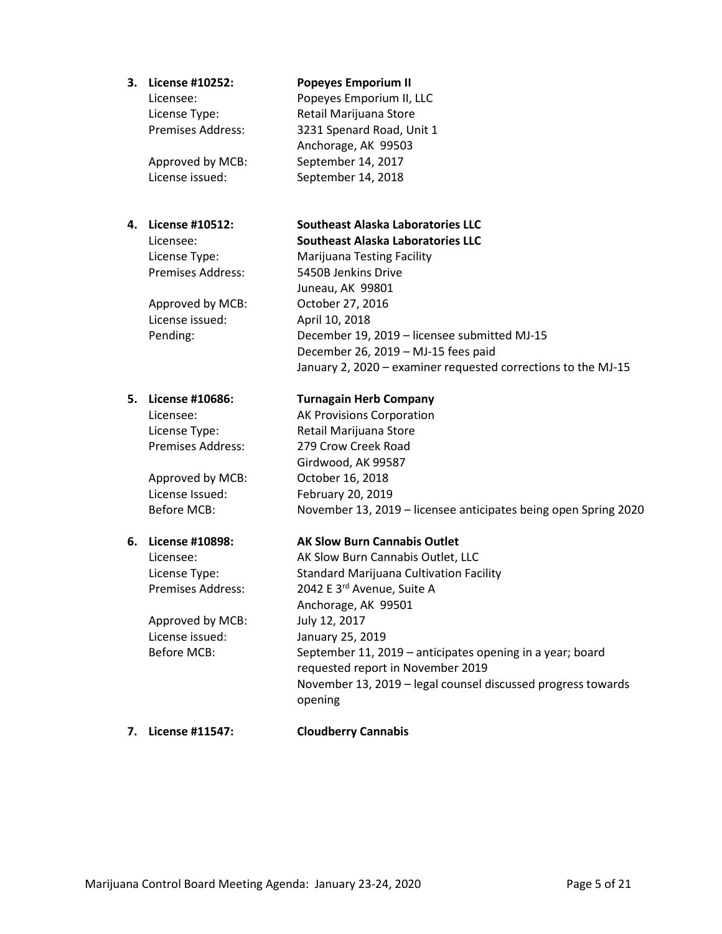#### **3. License #10252: Popeyes Emporium II**

Anchorage, AK 99503

Licensee: Popeyes Emporium II, LLC License Type: Retail Marijuana Store Premises Address: 3231 Spenard Road, Unit 1

Approved by MCB: September 14, 2017 License issued: September 14, 2018

Approved by MCB: October 27, 2016 License issued: April 10, 2018

License Issued: February 20, 2019

Approved by MCB: July 12, 2017 License issued: January 25, 2019

# **4. License #10512: Southeast Alaska Laboratories LLC**

#### Licensee: **Southeast Alaska Laboratories LLC**

License Type: Marijuana Testing Facility Premises Address: 5450B Jenkins Drive Juneau, AK 99801 Pending: December 19, 2019 – licensee submitted MJ-15 December 26, 2019 – MJ-15 fees paid January 2, 2020 – examiner requested corrections to the MJ-15

#### **5. License #10686: Turnagain Herb Company**

Licensee: AK Provisions Corporation License Type: Retail Marijuana Store Premises Address: 279 Crow Creek Road Girdwood, AK 99587 Approved by MCB: October 16, 2018 Before MCB: November 13, 2019 – licensee anticipates being open Spring 2020

## **6. License #10898: AK Slow Burn Cannabis Outlet**

Licensee: AK Slow Burn Cannabis Outlet, LLC License Type: Standard Marijuana Cultivation Facility Premises Address: 2042 E 3<sup>rd</sup> Avenue, Suite A Anchorage, AK 99501 Before MCB: September 11, 2019 – anticipates opening in a year; board requested report in November 2019 November 13, 2019 – legal counsel discussed progress towards opening

#### **7. License #11547: Cloudberry Cannabis**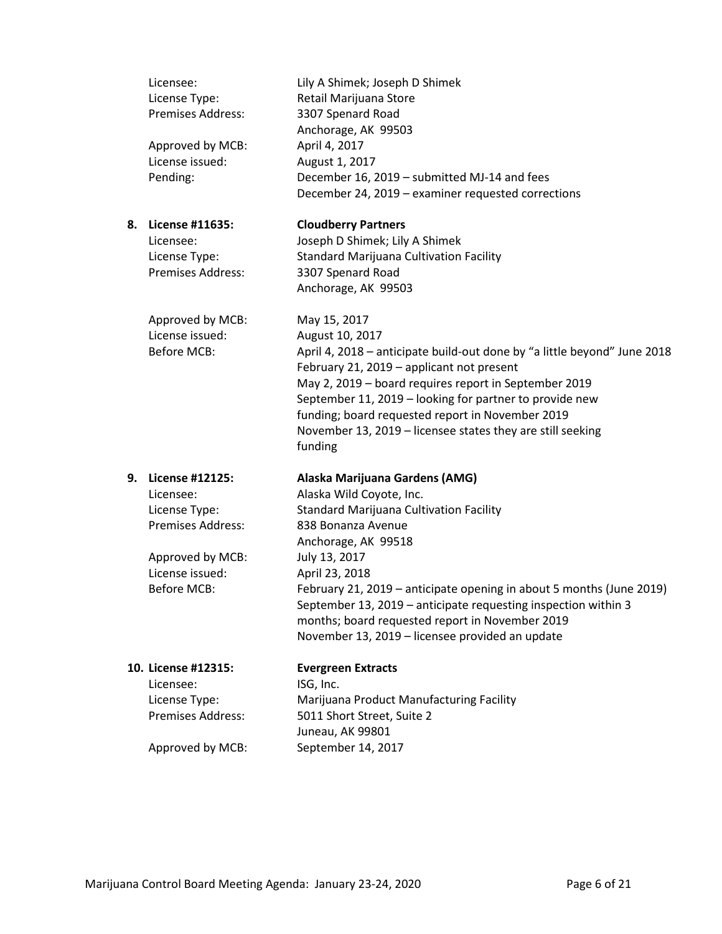|    | Licensee:<br>License Type:<br>Premises Address:<br>Approved by MCB:<br>License issued:<br>Pending:                              | Lily A Shimek; Joseph D Shimek<br>Retail Marijuana Store<br>3307 Spenard Road<br>Anchorage, AK 99503<br>April 4, 2017<br>August 1, 2017<br>December 16, 2019 - submitted MJ-14 and fees<br>December 24, 2019 - examiner requested corrections                                                                                                                                                                                         |
|----|---------------------------------------------------------------------------------------------------------------------------------|---------------------------------------------------------------------------------------------------------------------------------------------------------------------------------------------------------------------------------------------------------------------------------------------------------------------------------------------------------------------------------------------------------------------------------------|
| 8. | License #11635:<br>Licensee:<br>License Type:<br><b>Premises Address:</b>                                                       | <b>Cloudberry Partners</b><br>Joseph D Shimek; Lily A Shimek<br><b>Standard Marijuana Cultivation Facility</b><br>3307 Spenard Road<br>Anchorage, AK 99503                                                                                                                                                                                                                                                                            |
|    | Approved by MCB:<br>License issued:<br><b>Before MCB:</b>                                                                       | May 15, 2017<br>August 10, 2017<br>April 4, 2018 - anticipate build-out done by "a little beyond" June 2018<br>February 21, 2019 - applicant not present<br>May 2, 2019 - board requires report in September 2019<br>September 11, 2019 - looking for partner to provide new<br>funding; board requested report in November 2019<br>November 13, 2019 - licensee states they are still seeking<br>funding                             |
| 9. | License #12125:<br>Licensee:<br>License Type:<br><b>Premises Address:</b><br>Approved by MCB:<br>License issued:<br>Before MCB: | Alaska Marijuana Gardens (AMG)<br>Alaska Wild Coyote, Inc.<br>Standard Marijuana Cultivation Facility<br>838 Bonanza Avenue<br>Anchorage, AK 99518<br>July 13, 2017<br>April 23, 2018<br>February 21, 2019 - anticipate opening in about 5 months (June 2019)<br>September 13, 2019 - anticipate requesting inspection within 3<br>months; board requested report in November 2019<br>November 13, 2019 - licensee provided an update |
|    | 10. License #12315:<br>Licensee:<br>License Type:<br><b>Premises Address:</b>                                                   | <b>Evergreen Extracts</b><br>ISG, Inc.<br>Marijuana Product Manufacturing Facility<br>5011 Short Street, Suite 2                                                                                                                                                                                                                                                                                                                      |
|    | Approved by MCB:                                                                                                                | Juneau, AK 99801<br>September 14, 2017                                                                                                                                                                                                                                                                                                                                                                                                |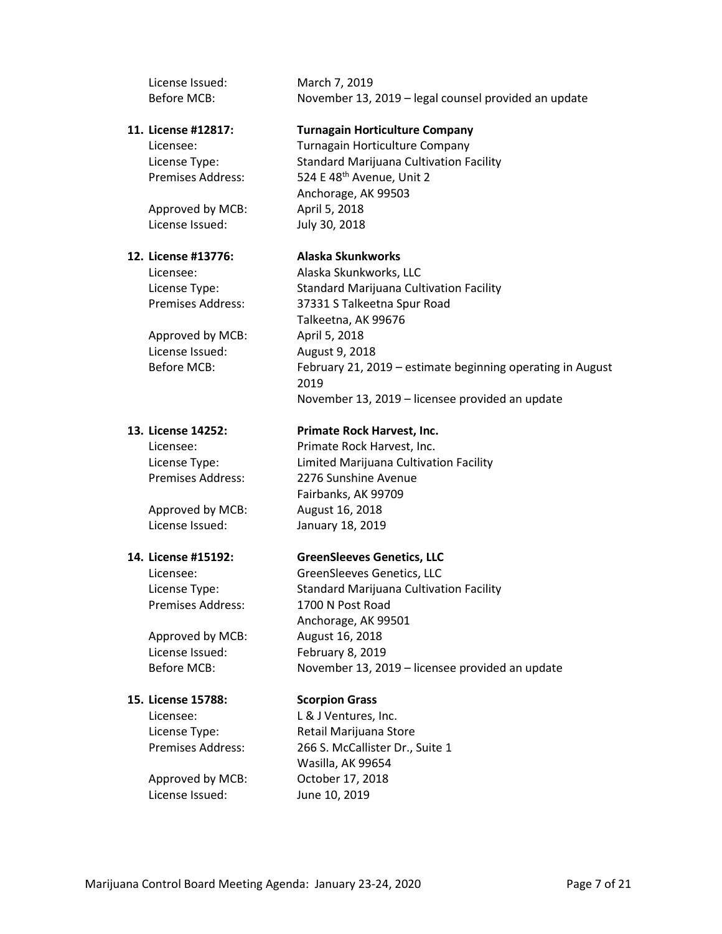License Issued: March 7, 2019 Before MCB: November 13, 2019 – legal counsel provided an update **11. License #12817: Turnagain Horticulture Company** Licensee: Turnagain Horticulture Company License Type: Standard Marijuana Cultivation Facility Premises Address: 524 E 48th Avenue, Unit 2 Anchorage, AK 99503 Approved by MCB: April 5, 2018 License Issued: July 30, 2018 **12. License #13776: Alaska Skunkworks** Licensee: Alaska Skunkworks, LLC License Type: Standard Marijuana Cultivation Facility Premises Address: 37331 S Talkeetna Spur Road Talkeetna, AK 99676 Approved by MCB: April 5, 2018 License Issued: August 9, 2018 Before MCB: February 21, 2019 – estimate beginning operating in August 2019 November 13, 2019 – licensee provided an update **13. License 14252: Primate Rock Harvest, Inc.** Licensee: Primate Rock Harvest, Inc. License Type: Limited Marijuana Cultivation Facility Premises Address: 2276 Sunshine Avenue Fairbanks, AK 99709 Approved by MCB: August 16, 2018 License Issued: January 18, 2019 **14. License #15192: GreenSleeves Genetics, LLC** Licensee: GreenSleeves Genetics, LLC License Type: Standard Marijuana Cultivation Facility Premises Address: 1700 N Post Road Anchorage, AK 99501 Approved by MCB: August 16, 2018 License Issued: February 8, 2019 Before MCB: November 13, 2019 – licensee provided an update **15. License 15788: Scorpion Grass** Licensee: L & J Ventures, Inc. License Type: Retail Marijuana Store Premises Address: 266 S. McCallister Dr., Suite 1 Wasilla, AK 99654 Approved by MCB: October 17, 2018 License Issued: June 10, 2019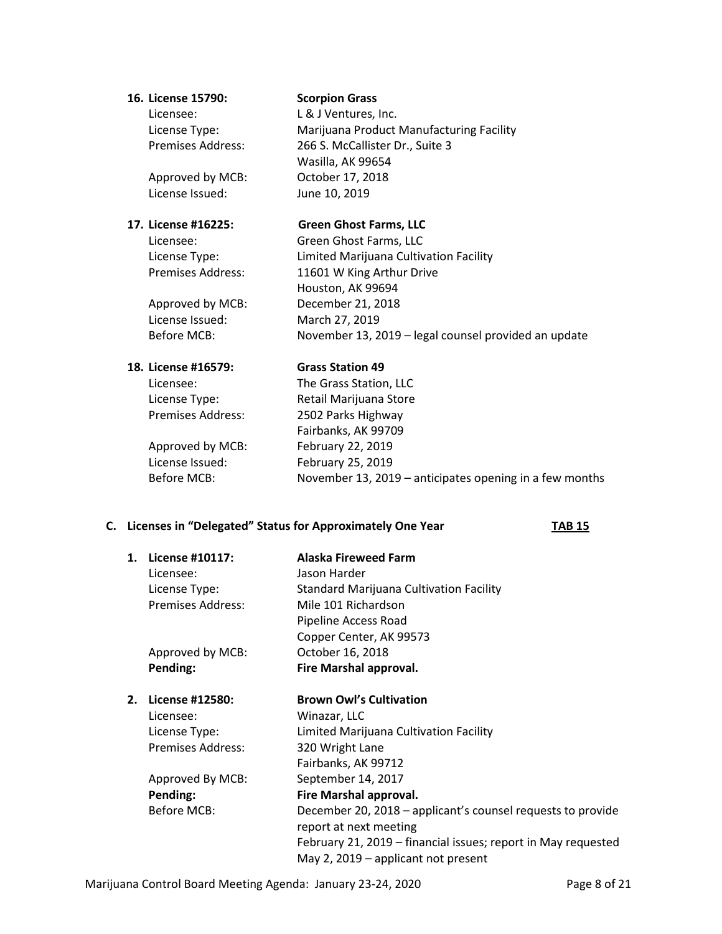#### **16. License 15790: Scorpion Grass**

License Issued: June 10, 2019

License Issued: March 27, 2019

Licensee: L& J Ventures, Inc. License Type: Marijuana Product Manufacturing Facility Premises Address: 266 S. McCallister Dr., Suite 3 Wasilla, AK 99654 Approved by MCB: October 17, 2018

#### **17. License #16225: Green Ghost Farms, LLC**

Licensee: Green Ghost Farms, LLC License Type: Limited Marijuana Cultivation Facility Premises Address: 11601 W King Arthur Drive Houston, AK 99694 Approved by MCB: December 21, 2018 Before MCB: November 13, 2019 – legal counsel provided an update

## **18. License #16579: Grass Station 49**

Licensee: The Grass Station, LLC License Type: Retail Marijuana Store Premises Address: 2502 Parks Highway Fairbanks, AK 99709 Approved by MCB: February 22, 2019 License Issued: February 25, 2019 Before MCB: November 13, 2019 – anticipates opening in a few months

## **C. Licenses in "Delegated" Status for Approximately One Year TAB 15**

| 1. | License #10117:          | <b>Alaska Fireweed Farm</b>                                   |
|----|--------------------------|---------------------------------------------------------------|
|    | Licensee:                | Jason Harder                                                  |
|    | License Type:            | <b>Standard Marijuana Cultivation Facility</b>                |
|    | <b>Premises Address:</b> | Mile 101 Richardson                                           |
|    |                          | Pipeline Access Road                                          |
|    |                          | Copper Center, AK 99573                                       |
|    | Approved by MCB:         | October 16, 2018                                              |
|    | Pending:                 | Fire Marshal approval.                                        |
| 2. | License #12580:          | <b>Brown Owl's Cultivation</b>                                |
|    | Licensee:                | Winazar, LLC                                                  |
|    | License Type:            | Limited Marijuana Cultivation Facility                        |
|    | <b>Premises Address:</b> | 320 Wright Lane                                               |
|    |                          | Fairbanks, AK 99712                                           |
|    | Approved By MCB:         | September 14, 2017                                            |
|    | Pending:                 | Fire Marshal approval.                                        |
|    | Before MCB:              | December 20, 2018 - applicant's counsel requests to provide   |
|    |                          | report at next meeting                                        |
|    |                          | February 21, 2019 - financial issues; report in May requested |
|    |                          | May 2, 2019 – applicant not present                           |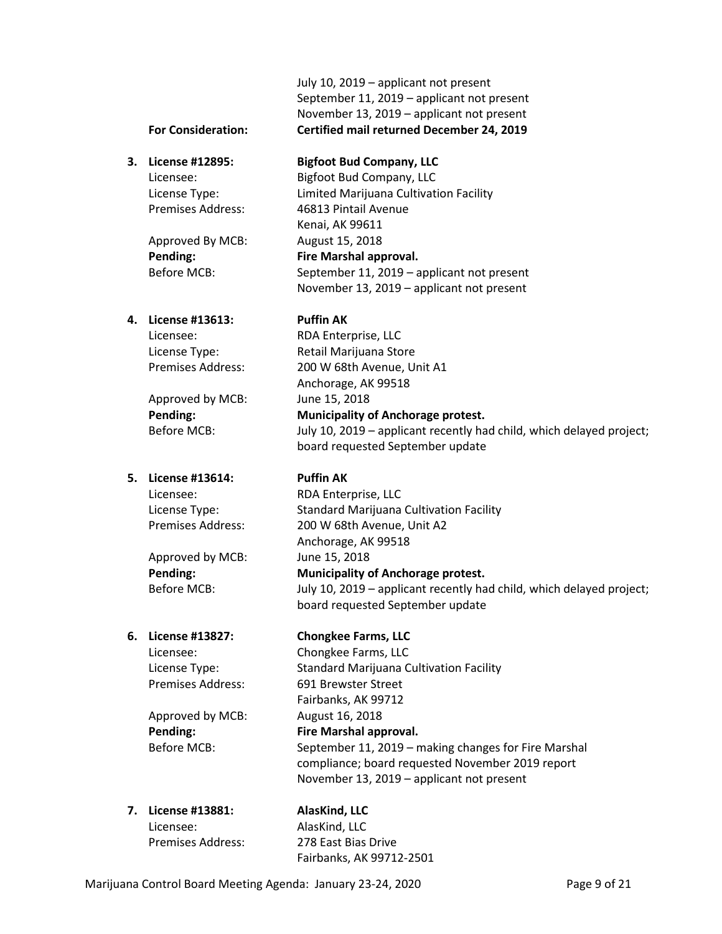July 10, 2019 – applicant not present September 11, 2019 – applicant not present November 13, 2019 – applicant not present **For Consideration: Certified mail returned December 24, 2019**

## **4. License #13613: Puffin AK**

Approved by MCB: June 15, 2018

# **5. License #13614: Puffin AK**

Approved by MCB: June 15, 2018

Approved by MCB: August 16, 2018

## **3. License #12895: Bigfoot Bud Company, LLC**

Licensee: Bigfoot Bud Company, LLC License Type: Limited Marijuana Cultivation Facility Premises Address: 46813 Pintail Avenue Kenai, AK 99611 Approved By MCB: August 15, 2018 **Pending: Fire Marshal approval.**  Before MCB: September 11, 2019 – applicant not present November 13, 2019 – applicant not present

Licensee: RDA Enterprise, LLC License Type: Retail Marijuana Store Premises Address: 200 W 68th Avenue, Unit A1 Anchorage, AK 99518 **Pending: Municipality of Anchorage protest.** Before MCB: July 10, 2019 – applicant recently had child, which delayed project; board requested September update

Licensee: RDA Enterprise, LLC License Type: Standard Marijuana Cultivation Facility Premises Address: 200 W 68th Avenue, Unit A2 Anchorage, AK 99518 **Pending: Municipality of Anchorage protest.** Before MCB: July 10, 2019 – applicant recently had child, which delayed project; board requested September update

## **6. License #13827: Chongkee Farms, LLC**

Licensee: Chongkee Farms, LLC License Type: Standard Marijuana Cultivation Facility Premises Address: 691 Brewster Street Fairbanks, AK 99712 **Pending: Fire Marshal approval.** Before MCB: September 11, 2019 – making changes for Fire Marshal compliance; board requested November 2019 report

November 13, 2019 – applicant not present

**7. License #13881: AlasKind, LLC**  Licensee: AlasKind, LLC

Premises Address: 278 East Bias Drive Fairbanks, AK 99712-2501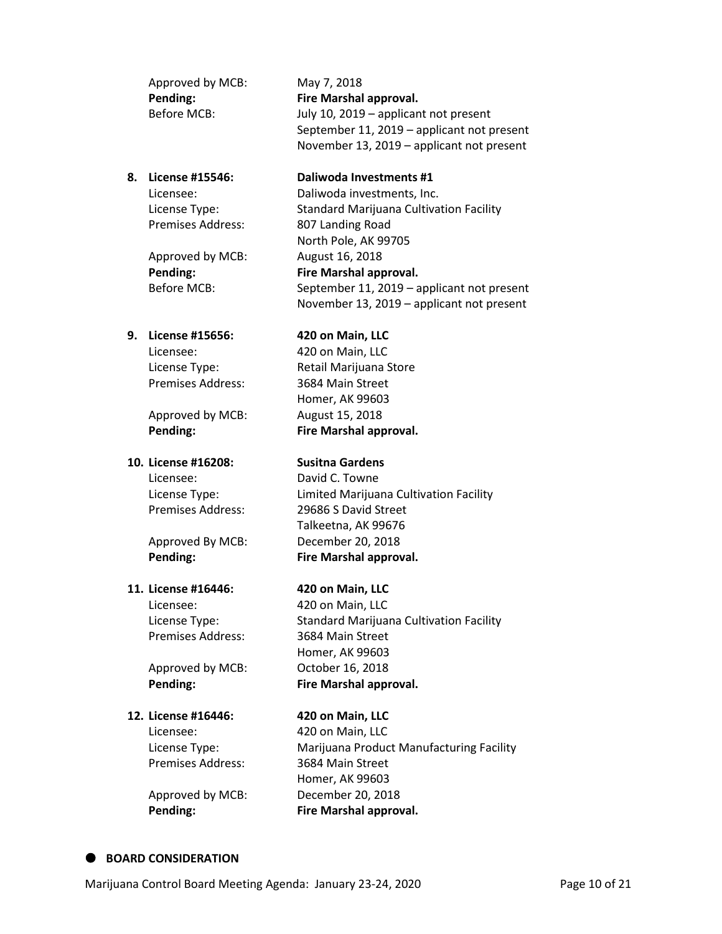| Approved by MCB: | May 7, 2018                                |
|------------------|--------------------------------------------|
| Pending:         | Fire Marshal approval.                     |
| Before MCB:      | July 10, 2019 – applicant not present      |
|                  | September 11, 2019 - applicant not present |
|                  | November 13, 2019 – applicant not present  |

Approved by MCB: August 16, 2018

#### **8. License #15546: Daliwoda Investments #1** Licensee: Daliwoda investments, Inc.

License Type: Standard Marijuana Cultivation Facility Premises Address: 807 Landing Road North Pole, AK 99705 **Pending: Fire Marshal approval.** Before MCB: September 11, 2019 – applicant not present November 13, 2019 – applicant not present

## **9. License #15656: 420 on Main, LLC**

Licensee: 420 on Main, LLC Premises Address: 3684 Main Street

Approved by MCB: August 15, 2018

# **10. License #16208: Susitna Gardens**

## **11. License #16446: 420 on Main, LLC**

Licensee: 420 on Main, LLC Premises Address: 3684 Main Street

Approved by MCB: October 16, 2018

## **12. License #16446: 420 on Main, LLC**

Licensee: 420 on Main, LLC Premises Address: 3684 Main Street

License Type: Retail Marijuana Store Homer, AK 99603 **Pending: Fire Marshal approval.**

Licensee: David C. Towne License Type: Limited Marijuana Cultivation Facility Premises Address: 29686 S David Street Talkeetna, AK 99676 Approved By MCB: December 20, 2018 **Pending: Fire Marshal approval.** 

License Type: Standard Marijuana Cultivation Facility Homer, AK 99603 **Pending: Fire Marshal approval.**

License Type: Marijuana Product Manufacturing Facility Homer, AK 99603 Approved by MCB: December 20, 2018 **Pending: Fire Marshal approval.**

## **BOARD CONSIDERATION**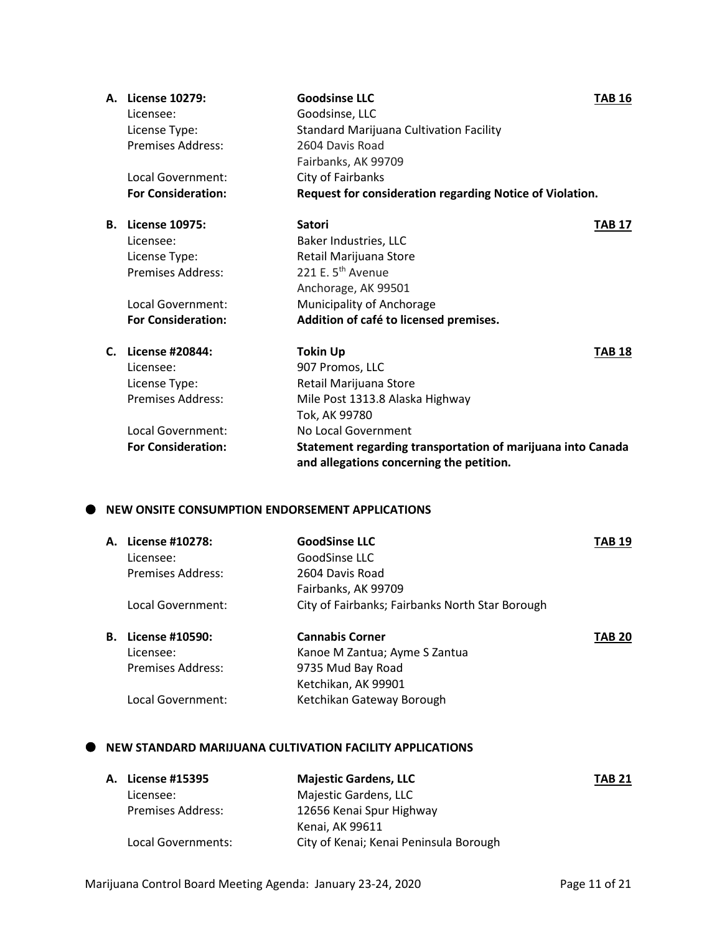|  | A. License 10279:                               | <b>Goodsinse LLC</b>                                                                                    | <b>TAB 16</b> |
|--|-------------------------------------------------|---------------------------------------------------------------------------------------------------------|---------------|
|  | Licensee:                                       | Goodsinse, LLC                                                                                          |               |
|  | License Type:                                   | <b>Standard Marijuana Cultivation Facility</b>                                                          |               |
|  | Premises Address:                               | 2604 Davis Road                                                                                         |               |
|  |                                                 | Fairbanks, AK 99709                                                                                     |               |
|  | Local Government:                               | City of Fairbanks                                                                                       |               |
|  | <b>For Consideration:</b>                       | Request for consideration regarding Notice of Violation.                                                |               |
|  | <b>B.</b> License 10975:                        | <b>Satori</b>                                                                                           | <b>TAB 17</b> |
|  | Licensee:                                       | Baker Industries, LLC                                                                                   |               |
|  | License Type:                                   | Retail Marijuana Store                                                                                  |               |
|  | <b>Premises Address:</b>                        | 221 E. 5 <sup>th</sup> Avenue                                                                           |               |
|  |                                                 | Anchorage, AK 99501                                                                                     |               |
|  | <b>Local Government:</b>                        | Municipality of Anchorage                                                                               |               |
|  | <b>For Consideration:</b>                       | Addition of café to licensed premises.                                                                  |               |
|  | C. License #20844:                              | <b>Tokin Up</b>                                                                                         | <b>TAB 18</b> |
|  | Licensee:                                       | 907 Promos, LLC                                                                                         |               |
|  | License Type:                                   | Retail Marijuana Store                                                                                  |               |
|  | <b>Premises Address:</b>                        | Mile Post 1313.8 Alaska Highway                                                                         |               |
|  |                                                 | Tok, AK 99780                                                                                           |               |
|  | Local Government:                               | No Local Government                                                                                     |               |
|  | <b>For Consideration:</b>                       | Statement regarding transportation of marijuana into Canada<br>and allegations concerning the petition. |               |
|  | NEW ONSITE CONSUMPTION ENDORSEMENT APPLICATIONS |                                                                                                         |               |
|  | A. License #10278:                              | <b>GoodSinse LLC</b>                                                                                    | <b>TAB 19</b> |
|  | Licensee:                                       | GoodSinse LLC                                                                                           |               |
|  | <b>Premises Address:</b>                        | 2604 Davis Road                                                                                         |               |
|  |                                                 | Fairbanks, AK 99709                                                                                     |               |
|  | Local Government:                               | City of Fairbanks; Fairbanks North Star Borough                                                         |               |
|  |                                                 |                                                                                                         |               |

| <b>B.</b> License #10590: | <b>Cannabis Corner</b>        | <b>TAB 20</b> |
|---------------------------|-------------------------------|---------------|
| Licensee:                 | Kanoe M Zantua; Ayme S Zantua |               |
| Premises Address:         | 9735 Mud Bay Road             |               |
|                           | Ketchikan, AK 99901           |               |
| Local Government:         | Ketchikan Gateway Borough     |               |
|                           |                               |               |

## **NEW STANDARD MARIJUANA CULTIVATION FACILITY APPLICATIONS**

| <b>A. License #15395</b> | <b>Majestic Gardens, LLC</b>           | <b>TAB 21</b> |
|--------------------------|----------------------------------------|---------------|
| Licensee:                | Majestic Gardens, LLC                  |               |
| <b>Premises Address:</b> | 12656 Kenai Spur Highway               |               |
|                          | Kenai. AK 99611                        |               |
| Local Governments:       | City of Kenai; Kenai Peninsula Borough |               |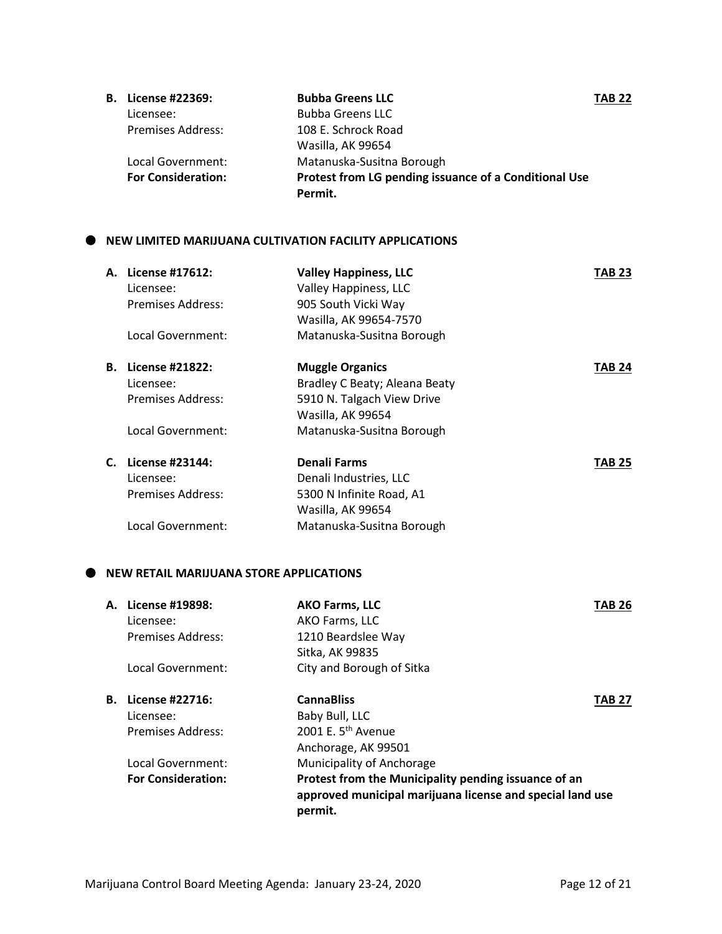| <b>B.</b> License #22369: | <b>Bubba Greens LLC</b>                               | <b>TAB 22</b> |
|---------------------------|-------------------------------------------------------|---------------|
| Licensee:                 | <b>Bubba Greens LLC</b>                               |               |
| <b>Premises Address:</b>  | 108 E. Schrock Road                                   |               |
|                           | Wasilla, AK 99654                                     |               |
| Local Government:         | Matanuska-Susitna Borough                             |               |
| <b>For Consideration:</b> | Protest from LG pending issuance of a Conditional Use |               |
|                           | Permit.                                               |               |

#### $\bullet$  NEW LIMITED MARIJUANA CULTIVATION FACILITY APPLICATIONS

|    | A. License #17612:        | <b>Valley Happiness, LLC</b>  | TAB 23 |
|----|---------------------------|-------------------------------|--------|
|    | Licensee:                 | Valley Happiness, LLC         |        |
|    | <b>Premises Address:</b>  | 905 South Vicki Way           |        |
|    |                           | Wasilla, AK 99654-7570        |        |
|    | Local Government:         | Matanuska-Susitna Borough     |        |
|    | <b>B.</b> License #21822: | <b>Muggle Organics</b>        | TAB 24 |
|    | Licensee:                 | Bradley C Beaty; Aleana Beaty |        |
|    | <b>Premises Address:</b>  | 5910 N. Talgach View Drive    |        |
|    |                           | Wasilla, AK 99654             |        |
|    | Local Government:         | Matanuska-Susitna Borough     |        |
| C. | License #23144:           | Denali Farms                  | TAB 25 |
|    | Licensee:                 | Denali Industries, LLC        |        |
|    | Premises Address:         | 5300 N Infinite Road, A1      |        |
|    |                           | Wasilla, AK 99654             |        |
|    | Local Government:         | Matanuska-Susitna Borough     |        |

## **NEW RETAIL MARIJUANA STORE APPLICATIONS**

| License #19898:           | <b>AKO Farms, LLC</b>                                                                                                        | TAB 26        |
|---------------------------|------------------------------------------------------------------------------------------------------------------------------|---------------|
| Licensee:                 | AKO Farms, LLC                                                                                                               |               |
| <b>Premises Address:</b>  | 1210 Beardslee Way                                                                                                           |               |
|                           | Sitka, AK 99835                                                                                                              |               |
| Local Government:         | City and Borough of Sitka                                                                                                    |               |
| License #22716:           | <b>CannaBliss</b>                                                                                                            | <b>TAB 27</b> |
| Licensee:                 | Baby Bull, LLC                                                                                                               |               |
| <b>Premises Address:</b>  | 2001 E. $5th$ Avenue                                                                                                         |               |
|                           | Anchorage, AK 99501                                                                                                          |               |
| Local Government:         | Municipality of Anchorage                                                                                                    |               |
| <b>For Consideration:</b> | Protest from the Municipality pending issuance of an<br>approved municipal marijuana license and special land use<br>permit. |               |
|                           | А.<br>В.                                                                                                                     |               |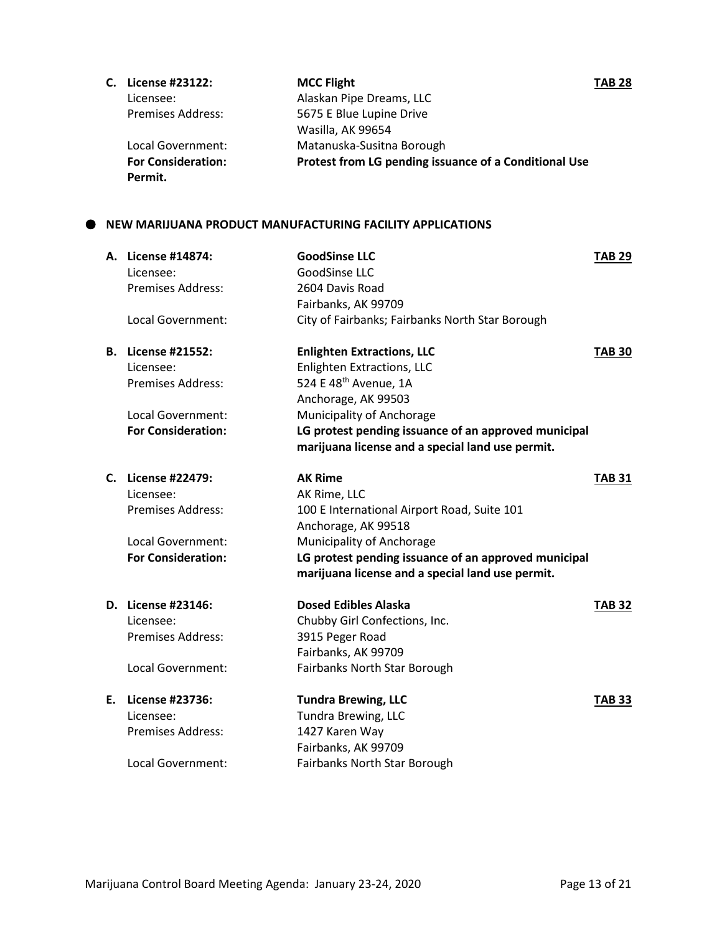| С. | License #23122:           | <b>MCC Flight</b>                                     | <b>TAB 28</b> |
|----|---------------------------|-------------------------------------------------------|---------------|
|    | Licensee:                 | Alaskan Pipe Dreams, LLC                              |               |
|    | <b>Premises Address:</b>  | 5675 E Blue Lupine Drive                              |               |
|    |                           | Wasilla, AK 99654                                     |               |
|    | Local Government:         | Matanuska-Susitna Borough                             |               |
|    | <b>For Consideration:</b> | Protest from LG pending issuance of a Conditional Use |               |
|    | Permit.                   |                                                       |               |

### **NEW MARIJUANA PRODUCT MANUFACTURING FACILITY APPLICATIONS**

| A. License #14874:<br>Licensee:<br><b>Premises Address:</b><br>Local Government:                       | <b>GoodSinse LLC</b><br>GoodSinse LLC<br>2604 Davis Road<br>Fairbanks, AK 99709<br>City of Fairbanks; Fairbanks North Star Borough                                                                                                            | <b>TAB 29</b> |
|--------------------------------------------------------------------------------------------------------|-----------------------------------------------------------------------------------------------------------------------------------------------------------------------------------------------------------------------------------------------|---------------|
| <b>B.</b> License #21552:<br>Licensee:<br><b>Premises Address:</b><br>Local Government:                | <b>Enlighten Extractions, LLC</b><br><b>Enlighten Extractions, LLC</b><br>524 E 48 <sup>th</sup> Avenue, 1A<br>Anchorage, AK 99503<br>Municipality of Anchorage                                                                               | <b>TAB 30</b> |
| <b>For Consideration:</b>                                                                              | LG protest pending issuance of an approved municipal<br>marijuana license and a special land use permit.                                                                                                                                      |               |
| C. License #22479:<br>Licensee:<br>Premises Address:<br>Local Government:<br><b>For Consideration:</b> | <b>AK Rime</b><br>AK Rime, LLC<br>100 E International Airport Road, Suite 101<br>Anchorage, AK 99518<br>Municipality of Anchorage<br>LG protest pending issuance of an approved municipal<br>marijuana license and a special land use permit. | <b>TAB 31</b> |
| D. License #23146:<br>Licensee:<br><b>Premises Address:</b><br>Local Government:                       | <b>Dosed Edibles Alaska</b><br>Chubby Girl Confections, Inc.<br>3915 Peger Road<br>Fairbanks, AK 99709<br>Fairbanks North Star Borough                                                                                                        | <b>TAB 32</b> |
| E. License #23736:<br>Licensee:<br><b>Premises Address:</b><br>Local Government:                       | <b>Tundra Brewing, LLC</b><br><b>Tundra Brewing, LLC</b><br>1427 Karen Way<br>Fairbanks, AK 99709<br>Fairbanks North Star Borough                                                                                                             | <b>TAB 33</b> |
|                                                                                                        |                                                                                                                                                                                                                                               |               |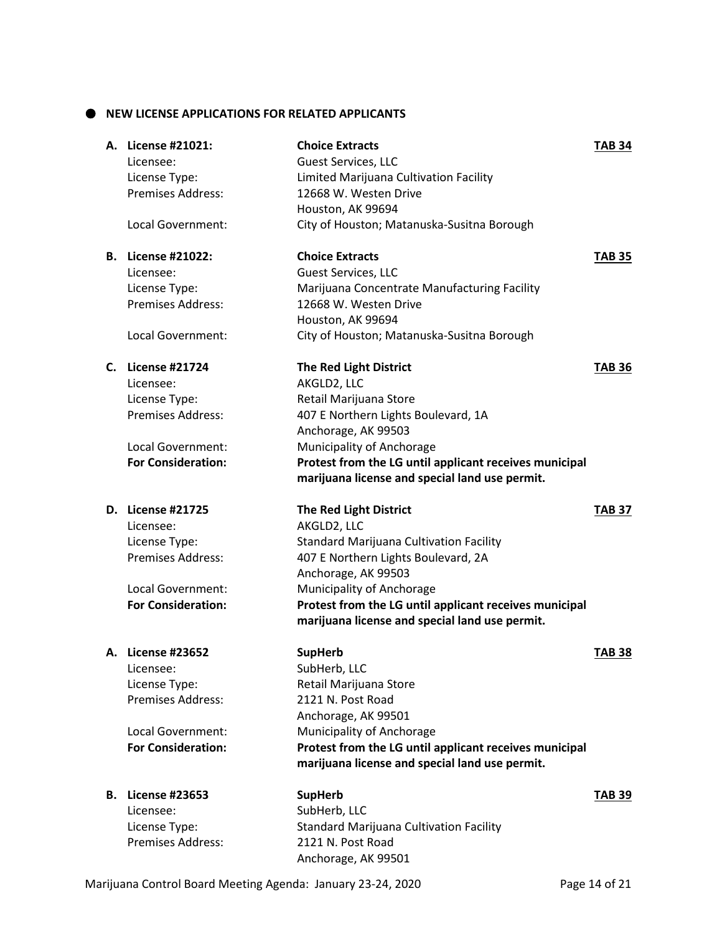## $\bullet$  NEW LICENSE APPLICATIONS FOR RELATED APPLICANTS

|    | A. License #21021:<br>Licensee:<br>License Type:<br>Premises Address:                                                                | <b>Choice Extracts</b><br>Guest Services, LLC<br>Limited Marijuana Cultivation Facility<br>12668 W. Westen Drive<br>Houston, AK 99694                                                                                                                                                                 | <b>TAB 34</b> |
|----|--------------------------------------------------------------------------------------------------------------------------------------|-------------------------------------------------------------------------------------------------------------------------------------------------------------------------------------------------------------------------------------------------------------------------------------------------------|---------------|
|    | Local Government:                                                                                                                    | City of Houston; Matanuska-Susitna Borough                                                                                                                                                                                                                                                            |               |
|    | <b>B.</b> License #21022:<br>Licensee:<br>License Type:<br><b>Premises Address:</b><br>Local Government:                             | <b>Choice Extracts</b><br>Guest Services, LLC<br>Marijuana Concentrate Manufacturing Facility<br>12668 W. Westen Drive<br>Houston, AK 99694<br>City of Houston; Matanuska-Susitna Borough                                                                                                             | <b>TAB 35</b> |
|    | <b>C.</b> License #21724<br>Licensee:<br>License Type:<br><b>Premises Address:</b><br>Local Government:<br><b>For Consideration:</b> | <b>The Red Light District</b><br>AKGLD2, LLC<br>Retail Marijuana Store<br>407 E Northern Lights Boulevard, 1A<br>Anchorage, AK 99503<br>Municipality of Anchorage<br>Protest from the LG until applicant receives municipal<br>marijuana license and special land use permit.                         | <b>TAB 36</b> |
|    | <b>D.</b> License #21725<br>Licensee:<br>License Type:<br><b>Premises Address:</b><br>Local Government:<br><b>For Consideration:</b> | <b>The Red Light District</b><br>AKGLD2, LLC<br><b>Standard Marijuana Cultivation Facility</b><br>407 E Northern Lights Boulevard, 2A<br>Anchorage, AK 99503<br>Municipality of Anchorage<br>Protest from the LG until applicant receives municipal<br>marijuana license and special land use permit. | <b>TAB 37</b> |
|    | A. License #23652<br>Licensee:<br>License Type:<br><b>Premises Address:</b><br>Local Government:<br><b>For Consideration:</b>        | <b>SupHerb</b><br>SubHerb, LLC<br>Retail Marijuana Store<br>2121 N. Post Road<br>Anchorage, AK 99501<br>Municipality of Anchorage<br>Protest from the LG until applicant receives municipal<br>marijuana license and special land use permit.                                                         | <b>TAB 38</b> |
| B. | <b>License #23653</b><br>Licensee:<br>License Type:<br>Premises Address:                                                             | <b>SupHerb</b><br>SubHerb, LLC<br>Standard Marijuana Cultivation Facility<br>2121 N. Post Road<br>Anchorage, AK 99501                                                                                                                                                                                 | <b>TAB 39</b> |

Marijuana Control Board Meeting Agenda: January 23-24, 2020 Page 14 of 21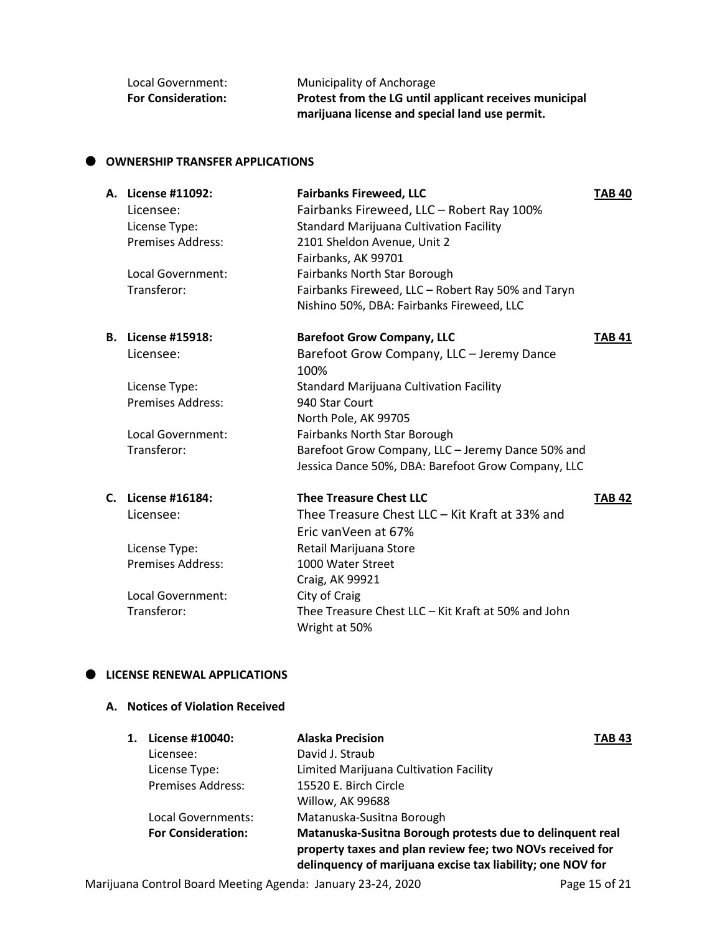| Local Government:         | Municipality of Anchorage                              |
|---------------------------|--------------------------------------------------------|
| <b>For Consideration:</b> | Protest from the LG until applicant receives municipal |
|                           | marijuana license and special land use permit.         |

### $\bullet$  OWNERSHIP TRANSFER APPLICATIONS

| A. License #11092:<br>Licensee:<br>License Type:<br><b>Premises Address:</b><br>Local Government:<br>Transferor: | <b>Fairbanks Fireweed, LLC</b><br>Fairbanks Fireweed, LLC - Robert Ray 100%<br><b>Standard Marijuana Cultivation Facility</b><br>2101 Sheldon Avenue, Unit 2<br>Fairbanks, AK 99701<br>Fairbanks North Star Borough<br>Fairbanks Fireweed, LLC - Robert Ray 50% and Taryn | <b>TAB 40</b> |
|------------------------------------------------------------------------------------------------------------------|---------------------------------------------------------------------------------------------------------------------------------------------------------------------------------------------------------------------------------------------------------------------------|---------------|
|                                                                                                                  | Nishino 50%, DBA: Fairbanks Fireweed, LLC                                                                                                                                                                                                                                 |               |
| <b>B.</b> License #15918:                                                                                        | <b>Barefoot Grow Company, LLC</b>                                                                                                                                                                                                                                         | <b>TAB 41</b> |
| Licensee:                                                                                                        | Barefoot Grow Company, LLC - Jeremy Dance<br>100%                                                                                                                                                                                                                         |               |
| License Type:                                                                                                    | <b>Standard Marijuana Cultivation Facility</b>                                                                                                                                                                                                                            |               |
| <b>Premises Address:</b>                                                                                         | 940 Star Court                                                                                                                                                                                                                                                            |               |
|                                                                                                                  | North Pole, AK 99705                                                                                                                                                                                                                                                      |               |
| Local Government:                                                                                                | Fairbanks North Star Borough                                                                                                                                                                                                                                              |               |
| Transferor:                                                                                                      | Barefoot Grow Company, LLC - Jeremy Dance 50% and<br>Jessica Dance 50%, DBA: Barefoot Grow Company, LLC                                                                                                                                                                   |               |
|                                                                                                                  | <b>Thee Treasure Chest LLC</b>                                                                                                                                                                                                                                            |               |
| C. License #16184:                                                                                               |                                                                                                                                                                                                                                                                           | <b>TAB 42</b> |
| Licensee:                                                                                                        | Thee Treasure Chest LLC - Kit Kraft at 33% and                                                                                                                                                                                                                            |               |
|                                                                                                                  | Eric vanVeen at 67%                                                                                                                                                                                                                                                       |               |
| License Type:                                                                                                    | Retail Marijuana Store                                                                                                                                                                                                                                                    |               |
| <b>Premises Address:</b>                                                                                         | 1000 Water Street                                                                                                                                                                                                                                                         |               |
| Local Government:                                                                                                | Craig, AK 99921<br>City of Craig                                                                                                                                                                                                                                          |               |
| Transferor:                                                                                                      | Thee Treasure Chest LLC - Kit Kraft at 50% and John<br>Wright at 50%                                                                                                                                                                                                      |               |

### $\bullet$  LICENSE RENEWAL APPLICATIONS

## **A. Notices of Violation Received**

| License #10040:           | <b>Alaska Precision</b>                                                                                                                                                              | <b>TAB 43</b> |
|---------------------------|--------------------------------------------------------------------------------------------------------------------------------------------------------------------------------------|---------------|
| Licensee:                 | David J. Straub                                                                                                                                                                      |               |
| License Type:             | Limited Marijuana Cultivation Facility                                                                                                                                               |               |
| <b>Premises Address:</b>  | 15520 E. Birch Circle                                                                                                                                                                |               |
|                           | Willow, AK 99688                                                                                                                                                                     |               |
| Local Governments:        | Matanuska-Susitna Borough                                                                                                                                                            |               |
| <b>For Consideration:</b> | Matanuska-Susitna Borough protests due to delinquent real<br>property taxes and plan review fee; two NOVs received for<br>delinquency of marijuana excise tax liability; one NOV for |               |
|                           |                                                                                                                                                                                      |               |

Marijuana Control Board Meeting Agenda: January 23-24, 2020 Page 15 of 21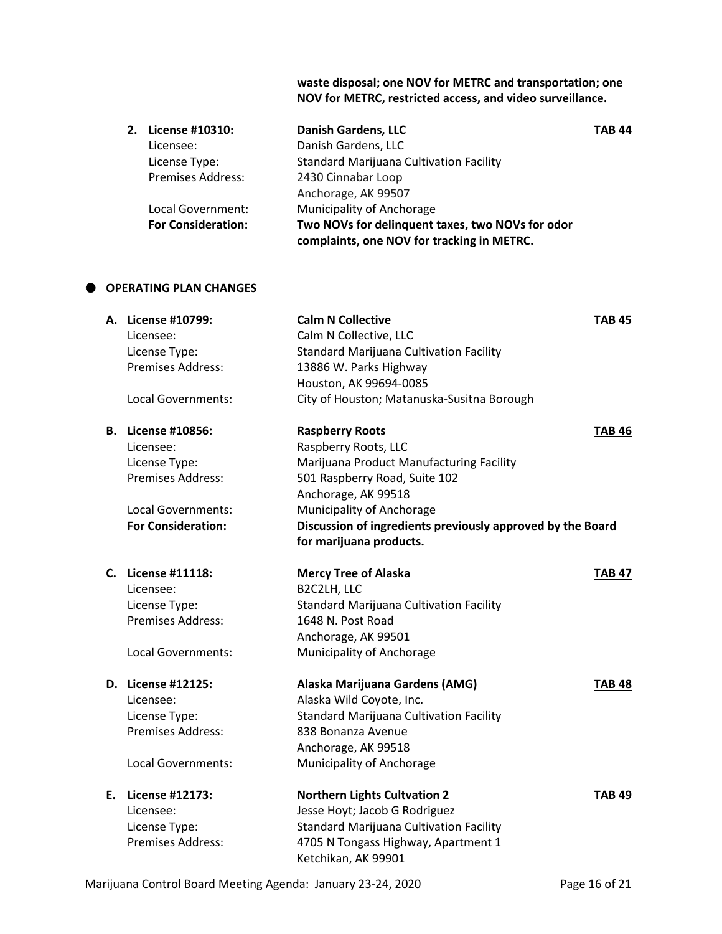**waste disposal; one NOV for METRC and transportation; one NOV for METRC, restricted access, and video surveillance.** 

| 2. | License #10310:           | <b>Danish Gardens, LLC</b>                       | <b>TAB 44</b> |
|----|---------------------------|--------------------------------------------------|---------------|
|    | Licensee:                 | Danish Gardens, LLC                              |               |
|    | License Type:             | <b>Standard Marijuana Cultivation Facility</b>   |               |
|    | <b>Premises Address:</b>  | 2430 Cinnabar Loop                               |               |
|    |                           | Anchorage, AK 99507                              |               |
|    | Local Government:         | Municipality of Anchorage                        |               |
|    | <b>For Consideration:</b> | Two NOVs for delinquent taxes, two NOVs for odor |               |
|    |                           | complaints, one NOV for tracking in METRC.       |               |

## **OPERATING PLAN CHANGES**

| A. License #10799:<br>Licensee:<br>License Type:<br>Premises Address:<br>Local Governments:                                     | <b>Calm N Collective</b><br>Calm N Collective, LLC<br><b>Standard Marijuana Cultivation Facility</b><br>13886 W. Parks Highway<br>Houston, AK 99694-0085<br>City of Houston; Matanuska-Susitna Borough                                                                   | <b>TAB 45</b> |
|---------------------------------------------------------------------------------------------------------------------------------|--------------------------------------------------------------------------------------------------------------------------------------------------------------------------------------------------------------------------------------------------------------------------|---------------|
| <b>B.</b> License #10856:<br>Licensee:<br>License Type:<br>Premises Address:<br>Local Governments:<br><b>For Consideration:</b> | <b>Raspberry Roots</b><br>Raspberry Roots, LLC<br>Marijuana Product Manufacturing Facility<br>501 Raspberry Road, Suite 102<br>Anchorage, AK 99518<br>Municipality of Anchorage<br>Discussion of ingredients previously approved by the Board<br>for marijuana products. | <b>TAB 46</b> |
| C. License #11118:<br>Licensee:<br>License Type:<br>Premises Address:<br>Local Governments:                                     | <b>Mercy Tree of Alaska</b><br>B2C2LH, LLC<br><b>Standard Marijuana Cultivation Facility</b><br>1648 N. Post Road<br>Anchorage, AK 99501<br>Municipality of Anchorage                                                                                                    | <b>TAB 47</b> |
| D. License #12125:<br>Licensee:<br>License Type:<br>Premises Address:<br>Local Governments:                                     | Alaska Marijuana Gardens (AMG)<br>Alaska Wild Coyote, Inc.<br><b>Standard Marijuana Cultivation Facility</b><br>838 Bonanza Avenue<br>Anchorage, AK 99518<br>Municipality of Anchorage                                                                                   | <b>TAB 48</b> |
| E. License #12173:<br>Licensee:<br>License Type:<br>Premises Address:                                                           | <b>Northern Lights Cultvation 2</b><br>Jesse Hoyt; Jacob G Rodriguez<br><b>Standard Marijuana Cultivation Facility</b><br>4705 N Tongass Highway, Apartment 1<br>Ketchikan, AK 99901                                                                                     | <b>TAB 49</b> |

Marijuana Control Board Meeting Agenda: January 23-24, 2020 Page 16 of 21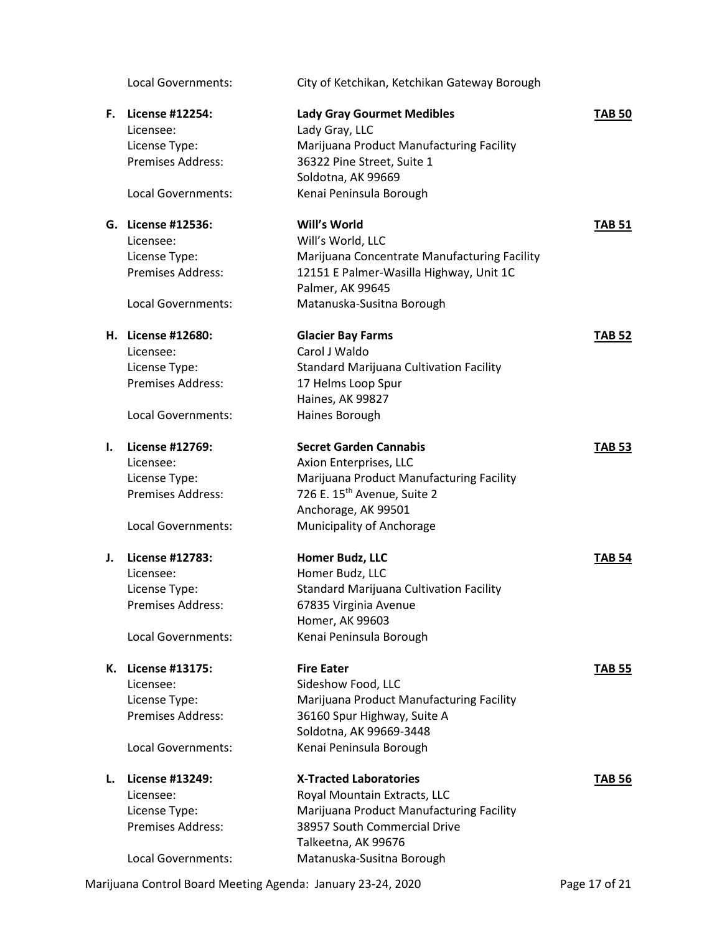Licensee: Will's World, LLC

Licensee: Carol J Waldo

Local Governments: Haines Borough

# Licensee: License Type:

# **K. License #13175: Fire Eater TAB 55**

Local Governments: City of Ketchikan, Ketchikan Gateway Borough

| F. | License #12254:          | <b>Lady Gray Gourmet Medibles</b>        | <b>TAB 50</b> |
|----|--------------------------|------------------------------------------|---------------|
|    | Licensee:                | Lady Gray, LLC                           |               |
|    | License Type:            | Marijuana Product Manufacturing Facility |               |
|    | <b>Premises Address:</b> | 36322 Pine Street, Suite 1               |               |
|    |                          | Soldotna, AK 99669                       |               |
|    | Local Governments:       | Kenai Peninsula Borough                  |               |
|    |                          |                                          |               |

# **G. License #12536: Will's World TAB 51**

License Type: Marijuana Concentrate Manufacturing Facility Premises Address: 12151 E Palmer-Wasilla Highway, Unit 1C Palmer, AK 99645 Local Governments: Matanuska-Susitna Borough

# **H. License #12680: Glacier Bay Farms TAB 52** License Type: Standard Marijuana Cultivation Facility Premises Address: 17 Helms Loop Spur Haines, AK 99827

## **I. License #12769: Secret Garden Cannabis TAB 53** Licensee: Axion Enterprises, LLC License Type: Marijuana Product Manufacturing Facility Premises Address: 726 E. 15<sup>th</sup> Avenue, Suite 2 Anchorage, AK 99501 Local Governments: Municipality of Anchorage

| J. | License #12783:          | <b>Homer Budz, LLC</b>                         | <b>TAB 54</b> |
|----|--------------------------|------------------------------------------------|---------------|
|    | Licensee:                | Homer Budz, LLC                                |               |
|    | License Type:            | <b>Standard Marijuana Cultivation Facility</b> |               |
|    | <b>Premises Address:</b> | 67835 Virginia Avenue                          |               |
|    |                          | Homer, AK 99603                                |               |
|    | Local Governments:       | Kenai Peninsula Borough                        |               |
|    |                          |                                                |               |

Licensee: Sideshow Food, LLC License Type: Marijuana Product Manufacturing Facility Premises Address: 36160 Spur Highway, Suite A Soldotna, AK 99669-3448 Local Governments: Kenai Peninsula Borough

- 
- **L. License #13249: X-Tracted Laboratories TAB 56** Licensee: Royal Mountain Extracts, LLC License Type: Marijuana Product Manufacturing Facility Premises Address: 38957 South Commercial Drive Talkeetna, AK 99676 Local Governments: Matanuska-Susitna Borough

Marijuana Control Board Meeting Agenda: January 23-24, 2020 Page 17 of 21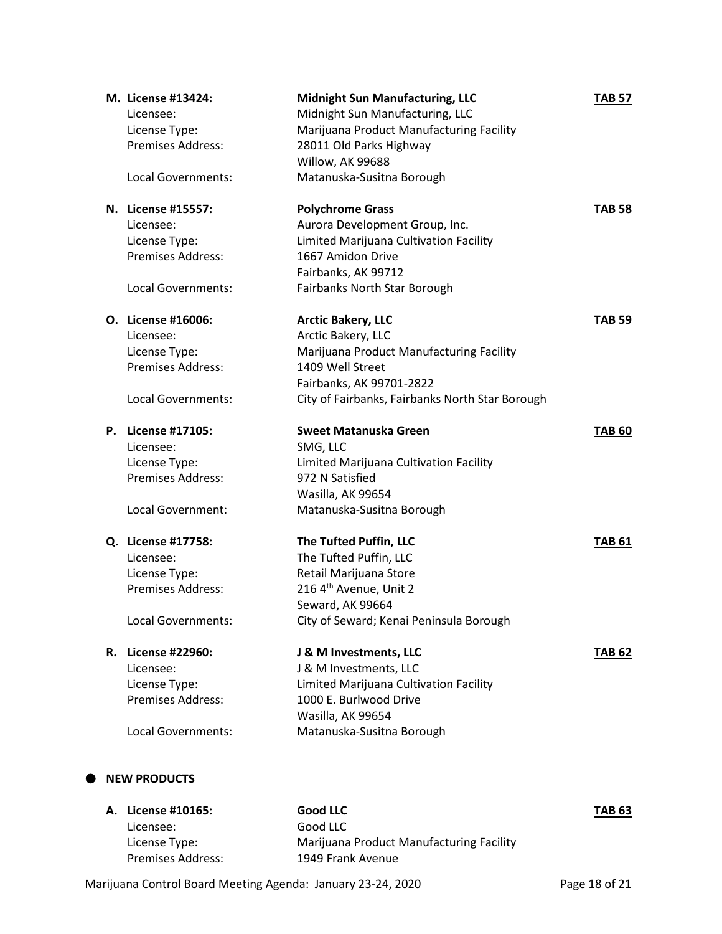| M. License #13424:       | <b>Midnight Sun Manufacturing, LLC</b>          | <b>TAB 57</b> |
|--------------------------|-------------------------------------------------|---------------|
| Licensee:                | Midnight Sun Manufacturing, LLC                 |               |
| License Type:            | Marijuana Product Manufacturing Facility        |               |
| <b>Premises Address:</b> | 28011 Old Parks Highway                         |               |
|                          | Willow, AK 99688                                |               |
| Local Governments:       | Matanuska-Susitna Borough                       |               |
| N. License #15557:       | <b>Polychrome Grass</b>                         | <b>TAB 58</b> |
| Licensee:                | Aurora Development Group, Inc.                  |               |
| License Type:            | Limited Marijuana Cultivation Facility          |               |
| Premises Address:        | 1667 Amidon Drive                               |               |
|                          | Fairbanks, AK 99712                             |               |
| Local Governments:       | Fairbanks North Star Borough                    |               |
| O. License #16006:       | <b>Arctic Bakery, LLC</b>                       | <b>TAB 59</b> |
| Licensee:                | Arctic Bakery, LLC                              |               |
| License Type:            | Marijuana Product Manufacturing Facility        |               |
| Premises Address:        | 1409 Well Street                                |               |
|                          | Fairbanks, AK 99701-2822                        |               |
| Local Governments:       | City of Fairbanks, Fairbanks North Star Borough |               |
| P. License #17105:       | Sweet Matanuska Green                           | <b>TAB 60</b> |
| Licensee:                | SMG, LLC                                        |               |
| License Type:            | Limited Marijuana Cultivation Facility          |               |
| Premises Address:        | 972 N Satisfied                                 |               |
|                          | Wasilla, AK 99654                               |               |
| Local Government:        | Matanuska-Susitna Borough                       |               |
| Q. License #17758:       | The Tufted Puffin, LLC                          | <b>TAB 61</b> |
| Licensee:                | The Tufted Puffin, LLC                          |               |
| License Type:            | Retail Marijuana Store                          |               |
| Premises Address:        | 216 4 <sup>th</sup> Avenue, Unit 2              |               |
|                          | Seward, AK 99664                                |               |
| Local Governments:       | City of Seward; Kenai Peninsula Borough         |               |
| R. License #22960:       | J & M Investments, LLC                          | <b>TAB 62</b> |
| Licensee:                | J & M Investments, LLC                          |               |
| License Type:            | Limited Marijuana Cultivation Facility          |               |
| Premises Address:        | 1000 E. Burlwood Drive                          |               |
|                          | Wasilla, AK 99654                               |               |
| Local Governments:       | Matanuska-Susitna Borough                       |               |

| A. License #10165:       | Good LLC                                 | <b>TAB 63</b> |
|--------------------------|------------------------------------------|---------------|
| Licensee:                | Good LLC                                 |               |
| License Type:            | Marijuana Product Manufacturing Facility |               |
| <b>Premises Address:</b> | 1949 Frank Avenue                        |               |

Marijuana Control Board Meeting Agenda: January 23-24, 2020 Page 18 of 21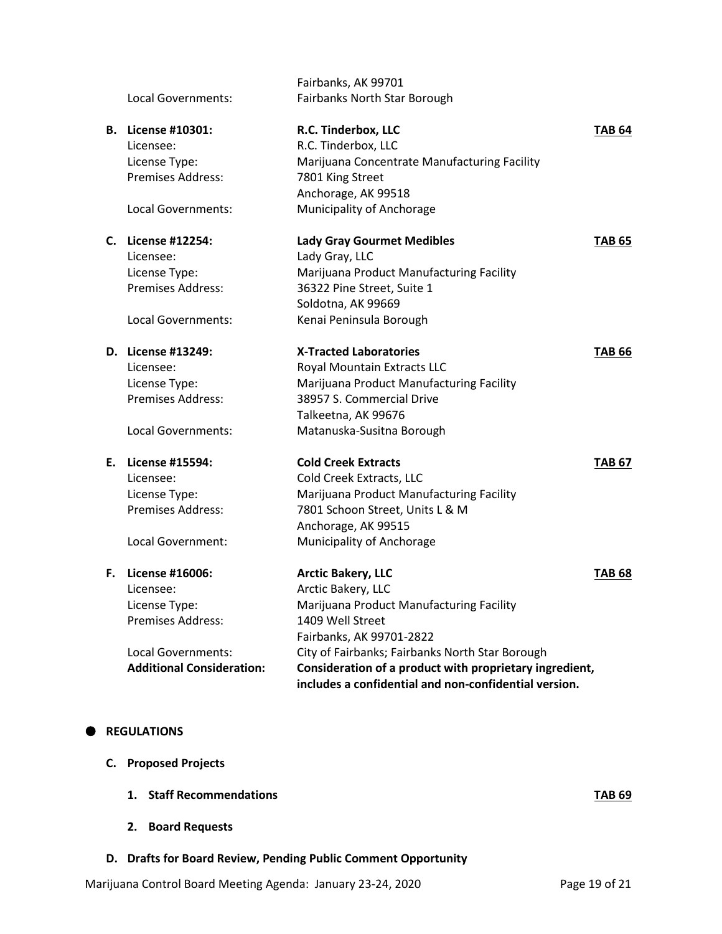|    |                                  | Fairbanks, AK 99701                                     |               |
|----|----------------------------------|---------------------------------------------------------|---------------|
|    | Local Governments:               | Fairbanks North Star Borough                            |               |
| В. | License #10301:                  | R.C. Tinderbox, LLC                                     | <b>TAB 64</b> |
|    | Licensee:                        | R.C. Tinderbox, LLC                                     |               |
|    | License Type:                    | Marijuana Concentrate Manufacturing Facility            |               |
|    | <b>Premises Address:</b>         | 7801 King Street                                        |               |
|    |                                  | Anchorage, AK 99518                                     |               |
|    | Local Governments:               | Municipality of Anchorage                               |               |
|    | C. License #12254:               | <b>Lady Gray Gourmet Medibles</b>                       | <b>TAB 65</b> |
|    | Licensee:                        | Lady Gray, LLC                                          |               |
|    | License Type:                    | Marijuana Product Manufacturing Facility                |               |
|    | <b>Premises Address:</b>         | 36322 Pine Street, Suite 1                              |               |
|    |                                  | Soldotna, AK 99669                                      |               |
|    | Local Governments:               | Kenai Peninsula Borough                                 |               |
|    | D. License #13249:               | <b>X-Tracted Laboratories</b>                           | <b>TAB 66</b> |
|    | Licensee:                        | Royal Mountain Extracts LLC                             |               |
|    | License Type:                    | Marijuana Product Manufacturing Facility                |               |
|    | Premises Address:                | 38957 S. Commercial Drive                               |               |
|    |                                  | Talkeetna, AK 99676                                     |               |
|    | Local Governments:               | Matanuska-Susitna Borough                               |               |
| Е. | License #15594:                  | <b>Cold Creek Extracts</b>                              | <b>TAB 67</b> |
|    | Licensee:                        | Cold Creek Extracts, LLC                                |               |
|    | License Type:                    | Marijuana Product Manufacturing Facility                |               |
|    | <b>Premises Address:</b>         | 7801 Schoon Street, Units L & M                         |               |
|    |                                  | Anchorage, AK 99515                                     |               |
|    | Local Government:                | Municipality of Anchorage                               |               |
| F. | License #16006:                  | <b>Arctic Bakery, LLC</b>                               | <b>TAB 68</b> |
|    | Licensee:                        | Arctic Bakery, LLC                                      |               |
|    | License Type:                    | Marijuana Product Manufacturing Facility                |               |
|    | <b>Premises Address:</b>         | 1409 Well Street                                        |               |
|    |                                  | Fairbanks, AK 99701-2822                                |               |
|    | Local Governments:               | City of Fairbanks; Fairbanks North Star Borough         |               |
|    | <b>Additional Consideration:</b> | Consideration of a product with proprietary ingredient, |               |
|    |                                  | includes a confidential and non-confidential version.   |               |
|    |                                  |                                                         |               |

#### $\bullet$  REGULATIONS

- **C. Proposed Projects**
	- **1. Staff Recommendations TAB 69**
	- **2. Board Requests**
- **D. Drafts for Board Review, Pending Public Comment Opportunity**

Marijuana Control Board Meeting Agenda: January 23-24, 2020 Page 19 of 21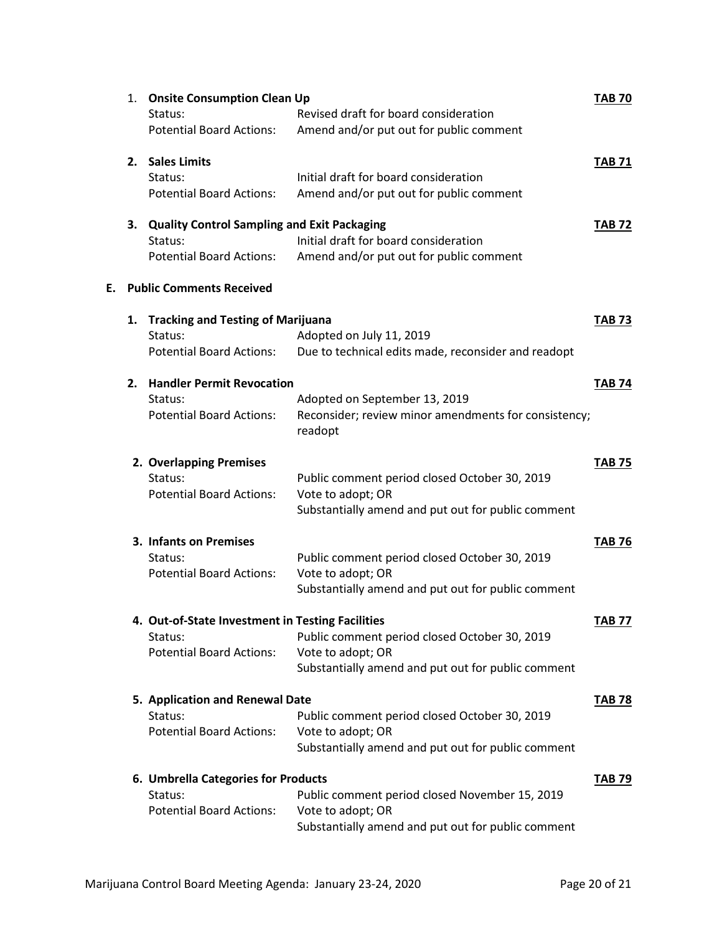|    | <b>Onsite Consumption Clean Up</b><br>1. |                                                    |                                                      | <b>TAB 70</b> |
|----|------------------------------------------|----------------------------------------------------|------------------------------------------------------|---------------|
|    |                                          | Status:                                            | Revised draft for board consideration                |               |
|    |                                          | <b>Potential Board Actions:</b>                    | Amend and/or put out for public comment              |               |
|    | 2.                                       | <b>Sales Limits</b>                                |                                                      | <b>TAB 71</b> |
|    |                                          | Status:                                            | Initial draft for board consideration                |               |
|    |                                          | <b>Potential Board Actions:</b>                    | Amend and/or put out for public comment              |               |
|    | 3.                                       | <b>Quality Control Sampling and Exit Packaging</b> |                                                      |               |
|    |                                          | Status:                                            | Initial draft for board consideration                | <b>TAB 72</b> |
|    |                                          | <b>Potential Board Actions:</b>                    | Amend and/or put out for public comment              |               |
| Е. |                                          | <b>Public Comments Received</b>                    |                                                      |               |
|    | 1.                                       | <b>Tracking and Testing of Marijuana</b>           |                                                      | <b>TAB 73</b> |
|    |                                          | Status:                                            | Adopted on July 11, 2019                             |               |
|    |                                          | <b>Potential Board Actions:</b>                    | Due to technical edits made, reconsider and readopt  |               |
|    | 2.                                       | <b>Handler Permit Revocation</b>                   |                                                      | <b>TAB 74</b> |
|    |                                          | Status:                                            | Adopted on September 13, 2019                        |               |
|    |                                          | <b>Potential Board Actions:</b>                    | Reconsider; review minor amendments for consistency; |               |
|    |                                          |                                                    | readopt                                              |               |
|    |                                          | 2. Overlapping Premises                            |                                                      | <b>TAB 75</b> |
|    |                                          | Status:                                            | Public comment period closed October 30, 2019        |               |
|    |                                          | <b>Potential Board Actions:</b>                    | Vote to adopt; OR                                    |               |
|    |                                          |                                                    | Substantially amend and put out for public comment   |               |
|    |                                          | 3. Infants on Premises                             |                                                      | <b>TAB 76</b> |
|    |                                          | Status:                                            | Public comment period closed October 30, 2019        |               |
|    |                                          | <b>Potential Board Actions:</b>                    | Vote to adopt; OR                                    |               |
|    |                                          |                                                    | Substantially amend and put out for public comment   |               |
|    |                                          | 4. Out-of-State Investment in Testing Facilities   |                                                      | TAB 77        |
|    |                                          | Status:                                            | Public comment period closed October 30, 2019        |               |
|    |                                          | <b>Potential Board Actions:</b>                    | Vote to adopt; OR                                    |               |
|    |                                          |                                                    | Substantially amend and put out for public comment   |               |
|    | 5. Application and Renewal Date          |                                                    |                                                      | <b>TAB 78</b> |
|    |                                          | Status:                                            | Public comment period closed October 30, 2019        |               |
|    |                                          | <b>Potential Board Actions:</b>                    | Vote to adopt; OR                                    |               |
|    |                                          |                                                    | Substantially amend and put out for public comment   |               |
|    |                                          | 6. Umbrella Categories for Products                |                                                      | <b>TAB 79</b> |
|    |                                          | Status:                                            | Public comment period closed November 15, 2019       |               |
|    |                                          | <b>Potential Board Actions:</b>                    | Vote to adopt; OR                                    |               |
|    |                                          |                                                    | Substantially amend and put out for public comment   |               |
|    |                                          |                                                    |                                                      |               |